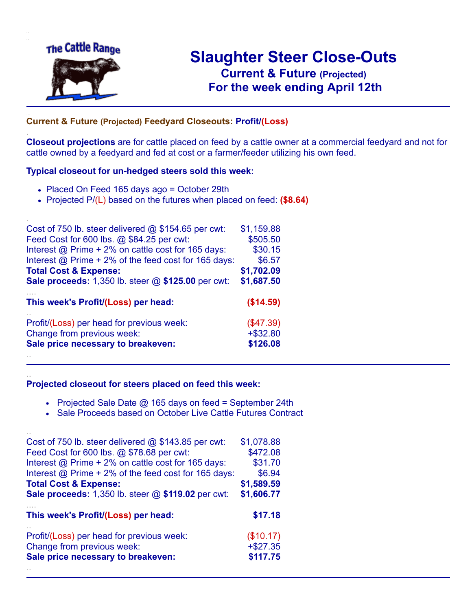

.

..

# **Slaughter Steer Close-Outs Current & Future (Projected)** .**For the week ending April 12th**

## **Current & Future (Projected) Feedyard Closeouts: Profit/(Loss)**

**Closeout projections** are for cattle placed on feed by a cattle owner at a commercial feedyard and not for cattle owned by a feedyard and fed at cost or a farmer/feeder utilizing his own feed.

### **Typical closeout for un-hedged steers sold this week:**

- Placed On Feed 165 days ago = October 29th
- Projected P/(L) based on the futures when placed on feed: **(\$8.64)**

| Cost of 750 lb. steer delivered $@$ \$154.65 per cwt:     | \$1,159.88  |
|-----------------------------------------------------------|-------------|
| Feed Cost for 600 lbs. @ \$84.25 per cwt:                 | \$505.50    |
| Interest @ Prime + 2% on cattle cost for 165 days:        | \$30.15     |
| Interest @ Prime + 2% of the feed cost for 165 days:      | \$6.57      |
| <b>Total Cost &amp; Expense:</b>                          | \$1,702.09  |
| <b>Sale proceeds:</b> 1,350 lb. steer @ \$125.00 per cwt: | \$1,687.50  |
| This week's Profit/(Loss) per head:                       | (\$14.59)   |
| Profit/(Loss) per head for previous week:                 | (\$47.39)   |
| Change from previous week:                                | $+$ \$32.80 |
| Sale price necessary to breakeven:                        | \$126.08    |
|                                                           |             |

#### **Projected closeout for steers placed on feed this week:**

- Projected Sale Date  $@$  165 days on feed = September 24th
- Sale Proceeds based on October Live Cattle Futures Contract

| Cost of 750 lb. steer delivered $@$ \$143.85 per cwt:     | \$1,078.88 |
|-----------------------------------------------------------|------------|
| Feed Cost for 600 lbs. @ \$78.68 per cwt:                 | \$472.08   |
| Interest @ Prime + 2% on cattle cost for 165 days:        | \$31.70    |
| Interest @ Prime + 2% of the feed cost for 165 days:      | \$6.94     |
| <b>Total Cost &amp; Expense:</b>                          | \$1,589.59 |
| <b>Sale proceeds:</b> 1,350 lb. steer @ \$119.02 per cwt: | \$1,606.77 |
|                                                           |            |
| This week's Profit/(Loss) per head:                       | \$17.18    |
| Profit/(Loss) per head for previous week:                 | (\$10.17)  |
| Change from previous week:                                | $+ $27.35$ |
| Sale price necessary to breakeven:                        | \$117.75   |